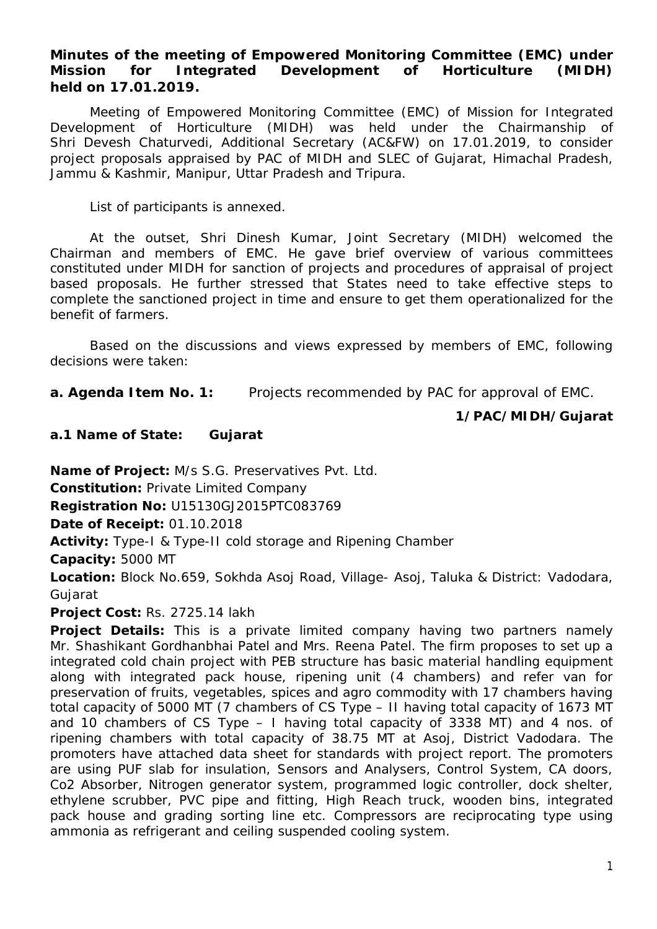## **Minutes of the meeting of Empowered Monitoring Committee (EMC) under Mission for Integrated Development of Horticulture (MIDH) held on 17.01.2019.**

Meeting of Empowered Monitoring Committee (EMC) of Mission for Integrated Development of Horticulture (MIDH) was held under the Chairmanship of Shri Devesh Chaturvedi, Additional Secretary (AC&FW) on 17.01.2019, to consider project proposals appraised by PAC of MIDH and SLEC of Gujarat, Himachal Pradesh, Jammu & Kashmir, Manipur, Uttar Pradesh and Tripura.

List of participants is annexed.

At the outset, Shri Dinesh Kumar, Joint Secretary (MIDH) welcomed the Chairman and members of EMC. He gave brief overview of various committees constituted under MIDH for sanction of projects and procedures of appraisal of project based proposals. He further stressed that States need to take effective steps to complete the sanctioned project in time and ensure to get them operationalized for the benefit of farmers.

Based on the discussions and views expressed by members of EMC, following decisions were taken:

**a. Agenda Item No. 1:** Projects recommended by PAC for approval of EMC.

## **1/PAC/MIDH/Gujarat**

**a.1 Name of State: Gujarat** 

**Name of Project:** M/s S.G. Preservatives Pvt. Ltd.

**Constitution:** Private Limited Company

**Registration No:** U15130GJ2015PTC083769

**Date of Receipt:** 01.10.2018

**Activity:** Type-I & Type-II cold storage and Ripening Chamber

**Capacity:** 5000 MT

**Location:** Block No.659, Sokhda Asoj Road, Village- Asoj, Taluka & District: Vadodara, **Guiarat** 

**Project Cost:** Rs. 2725.14 lakh

**Project Details:** This is a private limited company having two partners namely Mr. Shashikant Gordhanbhai Patel and Mrs. Reena Patel. The firm proposes to set up a integrated cold chain project with PEB structure has basic material handling equipment along with integrated pack house, ripening unit (4 chambers) and refer van for preservation of fruits, vegetables, spices and agro commodity with 17 chambers having total capacity of 5000 MT (7 chambers of CS Type – II having total capacity of 1673 MT and 10 chambers of CS Type – I having total capacity of 3338 MT) and 4 nos. of ripening chambers with total capacity of 38.75 MT at Asoj, District Vadodara. The promoters have attached data sheet for standards with project report. The promoters are using PUF slab for insulation, Sensors and Analysers, Control System, CA doors, Co2 Absorber, Nitrogen generator system, programmed logic controller, dock shelter, ethylene scrubber, PVC pipe and fitting, High Reach truck, wooden bins, integrated pack house and grading sorting line etc. Compressors are reciprocating type using ammonia as refrigerant and ceiling suspended cooling system.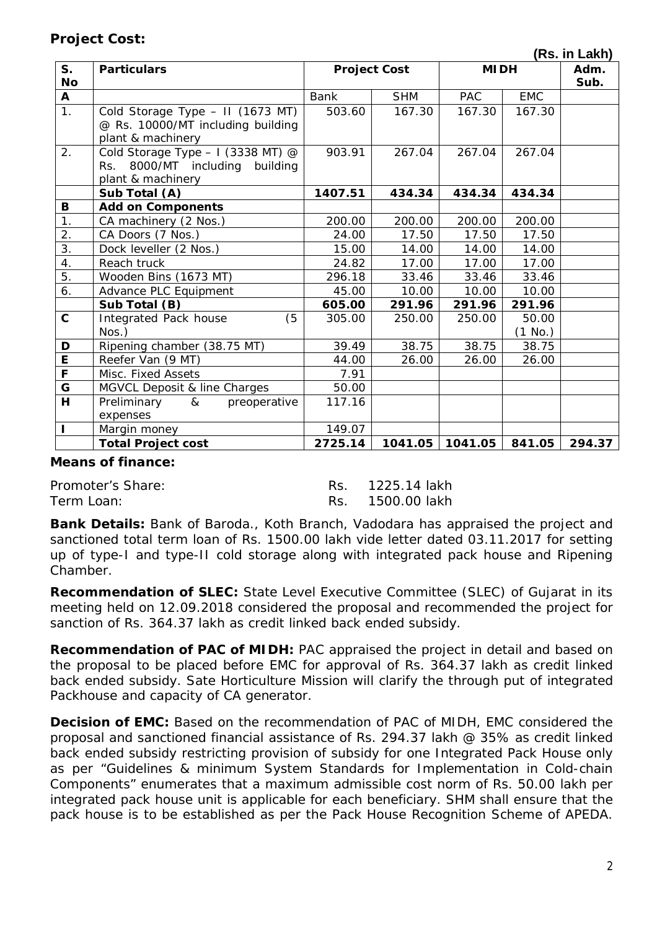## **Project Cost:**

 **(Rs. in Lakh)**

| $S_{1}$          | <b>Particulars</b>                 |         | <b>Project Cost</b> |            | <b>MIDH</b> |        |  |
|------------------|------------------------------------|---------|---------------------|------------|-------------|--------|--|
| No               |                                    |         |                     |            |             |        |  |
| $\mathbf{A}$     |                                    | Bank    | <b>SHM</b>          | <b>PAC</b> | <b>EMC</b>  | Sub.   |  |
| 1.               | Cold Storage Type - II (1673 MT)   | 503.60  | 167.30              | 167.30     | 167.30      |        |  |
|                  | @ Rs. 10000/MT including building  |         |                     |            |             |        |  |
|                  | plant & machinery                  |         |                     |            |             |        |  |
| 2.               | Cold Storage Type $-1$ (3338 MT) @ | 903.91  | 267.04              | 267.04     | 267.04      |        |  |
|                  | Rs. 8000/MT including building     |         |                     |            |             |        |  |
|                  | plant & machinery                  |         |                     |            |             |        |  |
|                  | Sub Total (A)                      | 1407.51 | 434.34              | 434.34     | 434.34      |        |  |
| В                | <b>Add on Components</b>           |         |                     |            |             |        |  |
| 1.               | CA machinery (2 Nos.)              | 200.00  | 200.00              | 200.00     | 200.00      |        |  |
| 2.               | CA Doors (7 Nos.)                  | 24.00   | 17.50               | 17.50      | 17.50       |        |  |
| $\overline{3}$ . | Dock leveller (2 Nos.)             | 15.00   | 14.00               | 14.00      | 14.00       |        |  |
| 4.               | Reach truck                        | 24.82   | 17.00               | 17.00      | 17.00       |        |  |
| 5.               | Wooden Bins (1673 MT)              | 296.18  | 33.46               | 33.46      | 33.46       |        |  |
| 6.               | Advance PLC Equipment              | 45.00   | 10.00               | 10.00      | 10.00       |        |  |
|                  | Sub Total (B)                      | 605.00  | 291.96              | 291.96     | 291.96      |        |  |
| $\mathbf{C}$     | (5)<br>Integrated Pack house       | 305.00  | 250.00              | 250.00     | 50.00       |        |  |
|                  | $N$ os.)                           |         |                     |            | (1 No.)     |        |  |
| D                | Ripening chamber (38.75 MT)        | 39.49   | 38.75               | 38.75      | 38.75       |        |  |
| $\overline{E}$   | Reefer Van (9 MT)                  | 44.00   | 26.00               | 26.00      | 26.00       |        |  |
| F                | Misc. Fixed Assets                 | 7.91    |                     |            |             |        |  |
| G                | MGVCL Deposit & line Charges       | 50.00   |                     |            |             |        |  |
| H                | Preliminary &<br>preoperative      | 117.16  |                     |            |             |        |  |
|                  | expenses                           |         |                     |            |             |        |  |
| ı                | Margin money                       | 149.07  |                     |            |             |        |  |
|                  | <b>Total Project cost</b>          | 2725.14 | 1041.05             | 1041.05    | 841.05      | 294.37 |  |

#### **Means of finance:**

Promoter's Share: The Res. 225.14 lakh Term Loan: Term Loan: Rs. 1500.00 lakh

**Bank Details:** Bank of Baroda., Koth Branch, Vadodara has appraised the project and sanctioned total term loan of Rs. 1500.00 lakh vide letter dated 03.11.2017 for setting up of type-I and type-II cold storage along with integrated pack house and Ripening Chamber.

**Recommendation of SLEC:** State Level Executive Committee (SLEC) of Gujarat in its meeting held on 12.09.2018 considered the proposal and recommended the project for sanction of Rs. 364.37 lakh as credit linked back ended subsidy.

**Recommendation of PAC of MIDH:** PAC appraised the project in detail and based on the proposal to be placed before EMC for approval of Rs. 364.37 lakh as credit linked back ended subsidy. Sate Horticulture Mission will clarify the through put of integrated Packhouse and capacity of CA generator.

**Decision of EMC:** Based on the recommendation of PAC of MIDH, EMC considered the proposal and sanctioned financial assistance of Rs. 294.37 lakh @ 35% as credit linked back ended subsidy restricting provision of subsidy for one Integrated Pack House only as per "Guidelines & minimum System Standards for Implementation in Cold-chain Components" enumerates that a maximum admissible cost norm of Rs. 50.00 lakh per integrated pack house unit is applicable for each beneficiary. SHM shall ensure that the pack house is to be established as per the Pack House Recognition Scheme of APEDA.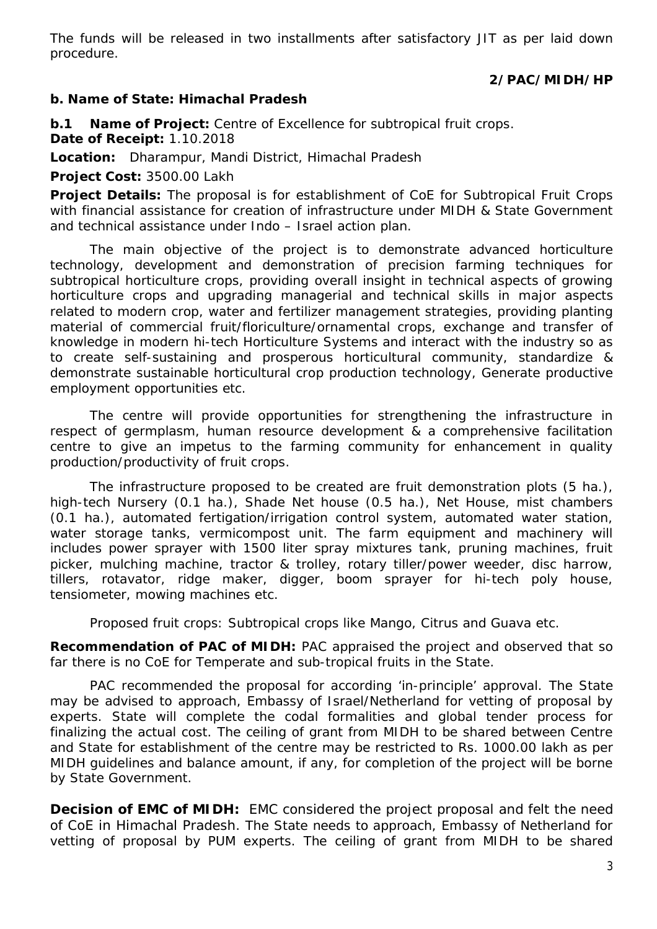The funds will be released in two installments after satisfactory JIT as per laid down procedure.

## **2/PAC/MIDH/HP**

#### **b. Name of State: Himachal Pradesh**

**b.1 Name of Project:** Centre of Excellence for subtropical fruit crops. **Date of Receipt:** 1.10.2018

**Location:** Dharampur, Mandi District, Himachal Pradesh

**Project Cost:** 3500.00 Lakh

**Project Details:** The proposal is for establishment of CoE for Subtropical Fruit Crops with financial assistance for creation of infrastructure under MIDH & State Government and technical assistance under Indo – Israel action plan.

The main objective of the project is to demonstrate advanced horticulture technology, development and demonstration of precision farming techniques for subtropical horticulture crops, providing overall insight in technical aspects of growing horticulture crops and upgrading managerial and technical skills in major aspects related to modern crop, water and fertilizer management strategies, providing planting material of commercial fruit/floriculture/ornamental crops, exchange and transfer of knowledge in modern hi-tech Horticulture Systems and interact with the industry so as to create self-sustaining and prosperous horticultural community, standardize & demonstrate sustainable horticultural crop production technology, Generate productive employment opportunities etc.

The centre will provide opportunities for strengthening the infrastructure in respect of germplasm, human resource development & a comprehensive facilitation centre to give an impetus to the farming community for enhancement in quality production/productivity of fruit crops.

The infrastructure proposed to be created are fruit demonstration plots (5 ha.), high-tech Nursery (0.1 ha.), Shade Net house (0.5 ha.), Net House, mist chambers (0.1 ha.), automated fertigation/irrigation control system, automated water station, water storage tanks, vermicompost unit. The farm equipment and machinery will includes power sprayer with 1500 liter spray mixtures tank, pruning machines, fruit picker, mulching machine, tractor & trolley, rotary tiller/power weeder, disc harrow, tillers, rotavator, ridge maker, digger, boom sprayer for hi-tech poly house, tensiometer, mowing machines etc.

Proposed fruit crops: Subtropical crops like Mango, Citrus and Guava etc.

**Recommendation of PAC of MIDH:** PAC appraised the project and observed that so far there is no CoE for Temperate and sub-tropical fruits in the State.

PAC recommended the proposal for according 'in-principle' approval. The State may be advised to approach, Embassy of Israel/Netherland for vetting of proposal by experts. State will complete the codal formalities and global tender process for finalizing the actual cost. The ceiling of grant from MIDH to be shared between Centre and State for establishment of the centre may be restricted to Rs. 1000.00 lakh as per MIDH guidelines and balance amount, if any, for completion of the project will be borne by State Government.

**Decision of EMC of MIDH:** EMC considered the project proposal and felt the need of CoE in Himachal Pradesh. The State needs to approach, Embassy of Netherland for vetting of proposal by PUM experts. The ceiling of grant from MIDH to be shared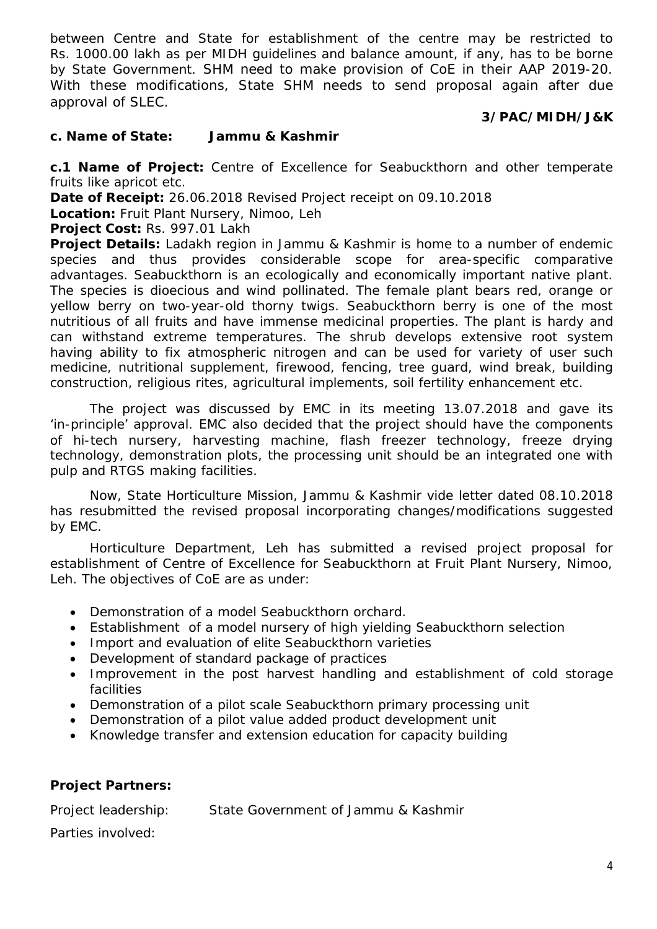between Centre and State for establishment of the centre may be restricted to Rs. 1000.00 lakh as per MIDH guidelines and balance amount, if any, has to be borne by State Government. SHM need to make provision of CoE in their AAP 2019-20. With these modifications, State SHM needs to send proposal again after due approval of SLEC.

## **3/PAC/MIDH/J&K**

## **c. Name of State: Jammu & Kashmir**

**c.1 Name of Project:** Centre of Excellence for Seabuckthorn and other temperate fruits like apricot etc.

**Date of Receipt:** 26.06.2018 Revised Project receipt on 09.10.2018

**Location:** Fruit Plant Nursery, Nimoo, Leh

**Project Cost:** Rs. 997.01 Lakh

**Project Details:** Ladakh region in Jammu & Kashmir is home to a number of endemic species and thus provides considerable scope for area-specific comparative advantages. Seabuckthorn is an ecologically and economically important native plant. The species is dioecious and wind pollinated. The female plant bears red, orange or yellow berry on two-year-old thorny twigs. Seabuckthorn berry is one of the most nutritious of all fruits and have immense medicinal properties. The plant is hardy and can withstand extreme temperatures. The shrub develops extensive root system having ability to fix atmospheric nitrogen and can be used for variety of user such medicine, nutritional supplement, firewood, fencing, tree guard, wind break, building construction, religious rites, agricultural implements, soil fertility enhancement etc.

The project was discussed by EMC in its meeting 13.07.2018 and gave its 'in-principle' approval. EMC also decided that the project should have the components of hi-tech nursery, harvesting machine, flash freezer technology, freeze drying technology, demonstration plots, the processing unit should be an integrated one with pulp and RTGS making facilities.

Now, State Horticulture Mission, Jammu & Kashmir vide letter dated 08.10.2018 has resubmitted the revised proposal incorporating changes/modifications suggested by EMC.

Horticulture Department, Leh has submitted a revised project proposal for establishment of Centre of Excellence for Seabuckthorn at Fruit Plant Nursery, Nimoo, Leh. The objectives of CoE are as under:

- Demonstration of a model Seabuckthorn orchard.
- Establishment of a model nursery of high yielding Seabuckthorn selection
- Import and evaluation of elite Seabuckthorn varieties
- Development of standard package of practices
- Improvement in the post harvest handling and establishment of cold storage facilities
- Demonstration of a pilot scale Seabuckthorn primary processing unit
- Demonstration of a pilot value added product development unit
- Knowledge transfer and extension education for capacity building

## **Project Partners:**

Project leadership: State Government of Jammu & Kashmir

Parties involved: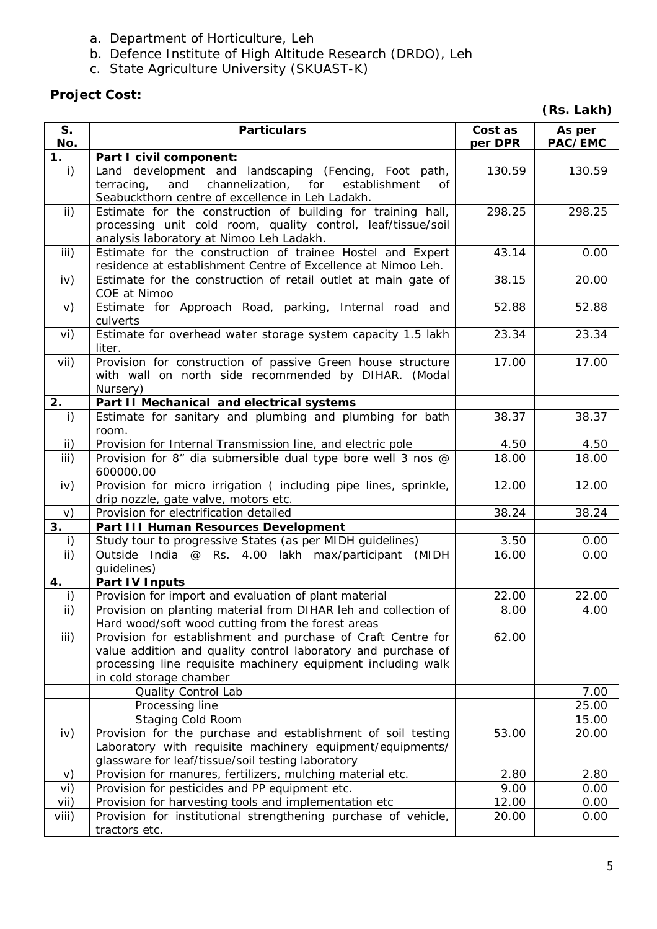- a. Department of Horticulture, Leh
- b. Defence Institute of High Altitude Research (DRDO), Leh
- c. State Agriculture University (SKUAST-K)

# **Project Cost:**

|  | (Rs. Lakh) |
|--|------------|
|--|------------|

| S <sub>1</sub><br>No. | <b>Particulars</b>                                                                                                                                                                                                       | Cost as<br>per DPR | As per<br>PAC/EMC |
|-----------------------|--------------------------------------------------------------------------------------------------------------------------------------------------------------------------------------------------------------------------|--------------------|-------------------|
| 1.                    | Part I civil component:                                                                                                                                                                                                  |                    |                   |
| i)                    | Land development and landscaping (Fencing, Foot path,<br>and<br>channelization, for<br>terracing,<br>establishment<br>Οf<br>Seabuckthorn centre of excellence in Leh Ladakh.                                             | 130.59             | 130.59            |
| $\mathsf{ii}$ )       | Estimate for the construction of building for training hall,<br>processing unit cold room, quality control, leaf/tissue/soil<br>analysis laboratory at Nimoo Leh Ladakh.                                                 | 298.25             | 298.25            |
| iii)                  | Estimate for the construction of trainee Hostel and Expert<br>residence at establishment Centre of Excellence at Nimoo Leh.                                                                                              | 43.14              | 0.00              |
| iv)                   | Estimate for the construction of retail outlet at main gate of<br>COE at Nimoo                                                                                                                                           | 38.15              | 20.00             |
| V)                    | Estimate for Approach Road, parking, Internal road and<br>culverts                                                                                                                                                       | 52.88              | 52.88             |
| vi)                   | Estimate for overhead water storage system capacity 1.5 lakh<br>liter.                                                                                                                                                   | 23.34              | 23.34             |
| vii)                  | Provision for construction of passive Green house structure<br>with wall on north side recommended by DIHAR. (Modal<br>Nursery)                                                                                          | 17.00              | 17.00             |
| 2.                    | Part II Mechanical and electrical systems                                                                                                                                                                                |                    |                   |
| i)                    | Estimate for sanitary and plumbing and plumbing for bath<br>room.                                                                                                                                                        | 38.37              | 38.37             |
| ii)                   | Provision for Internal Transmission line, and electric pole                                                                                                                                                              | 4.50               | 4.50              |
| iii)                  | Provision for 8" dia submersible dual type bore well 3 nos @<br>600000.00                                                                                                                                                | 18.00              | 18.00             |
| iv)                   | Provision for micro irrigation (including pipe lines, sprinkle,<br>drip nozzle, gate valve, motors etc.                                                                                                                  | 12.00              | 12.00             |
| V)                    | Provision for electrification detailed                                                                                                                                                                                   | 38.24              | 38.24             |
| 3.                    | Part III Human Resources Development                                                                                                                                                                                     |                    |                   |
| i)                    | Study tour to progressive States (as per MIDH guidelines)                                                                                                                                                                | 3.50               | 0.00              |
| ii)                   | Outside India @ Rs. 4.00 lakh max/participant (MIDH<br>guidelines)                                                                                                                                                       | 16.00              | 0.00              |
| 4.                    | Part IV Inputs                                                                                                                                                                                                           |                    |                   |
| i)                    | Provision for import and evaluation of plant material                                                                                                                                                                    | 22.00              | 22.00             |
| $\mathsf{ii}$ )       | Provision on planting material from DIHAR leh and collection of<br>Hard wood/soft wood cutting from the forest areas                                                                                                     | 8.00               | 4.00              |
| iii)                  | Provision for establishment and purchase of Craft Centre for<br>value addition and quality control laboratory and purchase of<br>processing line requisite machinery equipment including walk<br>in cold storage chamber | 62.00              |                   |
|                       | Quality Control Lab                                                                                                                                                                                                      |                    | 7.00              |
|                       | Processing line                                                                                                                                                                                                          |                    | 25.00             |
|                       | Staging Cold Room                                                                                                                                                                                                        |                    | 15.00             |
| iv)                   | Provision for the purchase and establishment of soil testing<br>Laboratory with requisite machinery equipment/equipments/<br>glassware for leaf/tissue/soil testing laboratory                                           | 53.00              | 20.00             |
| V)                    | Provision for manures, fertilizers, mulching material etc.                                                                                                                                                               | 2.80               | 2.80              |
| vi)                   | Provision for pesticides and PP equipment etc.                                                                                                                                                                           | 9.00               | 0.00              |
| vii)                  | Provision for harvesting tools and implementation etc                                                                                                                                                                    | 12.00              | 0.00              |
| $V$ iii)              | Provision for institutional strengthening purchase of vehicle,<br>tractors etc.                                                                                                                                          | 20.00              | 0.00              |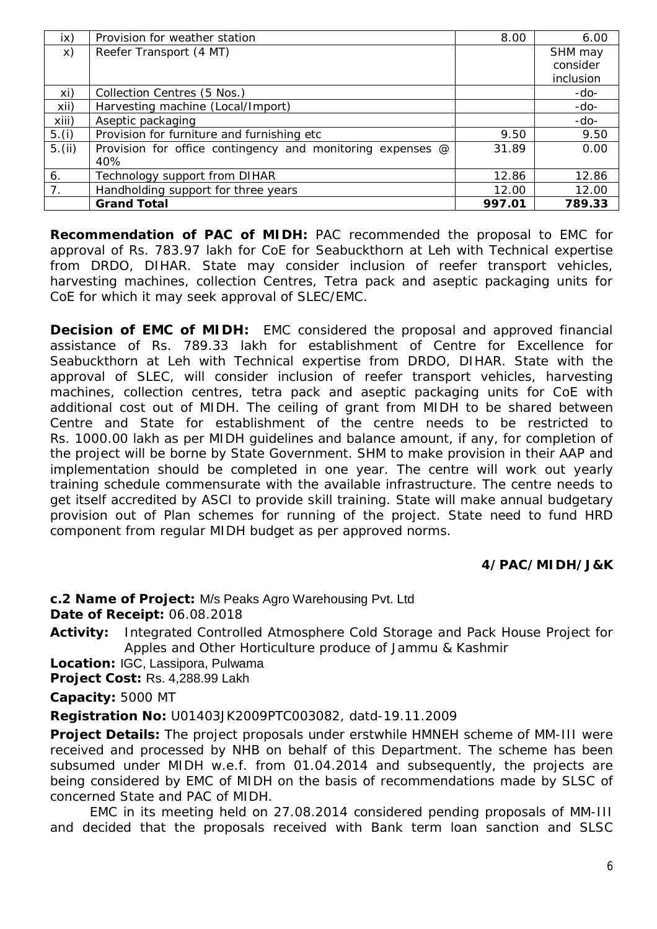| $\mathsf{ix}$  | Provision for weather station                              | 8.00   | 6.00      |
|----------------|------------------------------------------------------------|--------|-----------|
| X)             | Reefer Transport (4 MT)                                    |        | SHM may   |
|                |                                                            |        | consider  |
|                |                                                            |        | inclusion |
| xi)            | Collection Centres (5 Nos.)                                |        | -do-      |
| xii)           | Harvesting machine (Local/Import)                          |        | $-do-$    |
| xiii)          | Aseptic packaging                                          |        | $-do-$    |
| 5.(i)          | Provision for furniture and furnishing etc                 | 9.50   | 9.50      |
| 5.(ii)         | Provision for office contingency and monitoring expenses @ | 31.89  | 0.00      |
|                | 40%                                                        |        |           |
| 6.             | Technology support from DIHAR                              | 12.86  | 12.86     |
| 7 <sub>1</sub> | Handholding support for three years                        | 12.00  | 12.00     |
|                | <b>Grand Total</b>                                         | 997.01 | 789.33    |

**Recommendation of PAC of MIDH:** PAC recommended the proposal to EMC for approval of Rs. 783.97 lakh for CoE for Seabuckthorn at Leh with Technical expertise from DRDO, DIHAR. State may consider inclusion of reefer transport vehicles, harvesting machines, collection Centres, Tetra pack and aseptic packaging units for CoE for which it may seek approval of SLEC/EMC.

**Decision of EMC of MIDH:** EMC considered the proposal and approved financial assistance of Rs. 789.33 lakh for establishment of Centre for Excellence for Seabuckthorn at Leh with Technical expertise from DRDO, DIHAR. State with the approval of SLEC, will consider inclusion of reefer transport vehicles, harvesting machines, collection centres, tetra pack and aseptic packaging units for CoE with additional cost out of MIDH. The ceiling of grant from MIDH to be shared between Centre and State for establishment of the centre needs to be restricted to Rs. 1000.00 lakh as per MIDH guidelines and balance amount, if any, for completion of the project will be borne by State Government. SHM to make provision in their AAP and implementation should be completed in one year. The centre will work out yearly training schedule commensurate with the available infrastructure. The centre needs to get itself accredited by ASCI to provide skill training. State will make annual budgetary provision out of Plan schemes for running of the project. State need to fund HRD component from regular MIDH budget as per approved norms.

## **4/PAC/MIDH/J&K**

**c.2 Name of Project:** M/s Peaks Agro Warehousing Pvt. Ltd

**Date of Receipt:** 06.08.2018

**Activity:** Integrated Controlled Atmosphere Cold Storage and Pack House Project for Apples and Other Horticulture produce of Jammu & Kashmir

**Location:** IGC, Lassipora, Pulwama

**Project Cost:** Rs. 4,288.99 Lakh

**Capacity:** 5000 MT

**Registration No:** U01403JK2009PTC003082, datd-19.11.2009

**Project Details:** The project proposals under erstwhile HMNEH scheme of MM-III were received and processed by NHB on behalf of this Department. The scheme has been subsumed under MIDH w.e.f. from 01.04.2014 and subsequently, the projects are being considered by EMC of MIDH on the basis of recommendations made by SLSC of concerned State and PAC of MIDH.

EMC in its meeting held on 27.08.2014 considered pending proposals of MM-III and decided that the proposals received with Bank term loan sanction and SLSC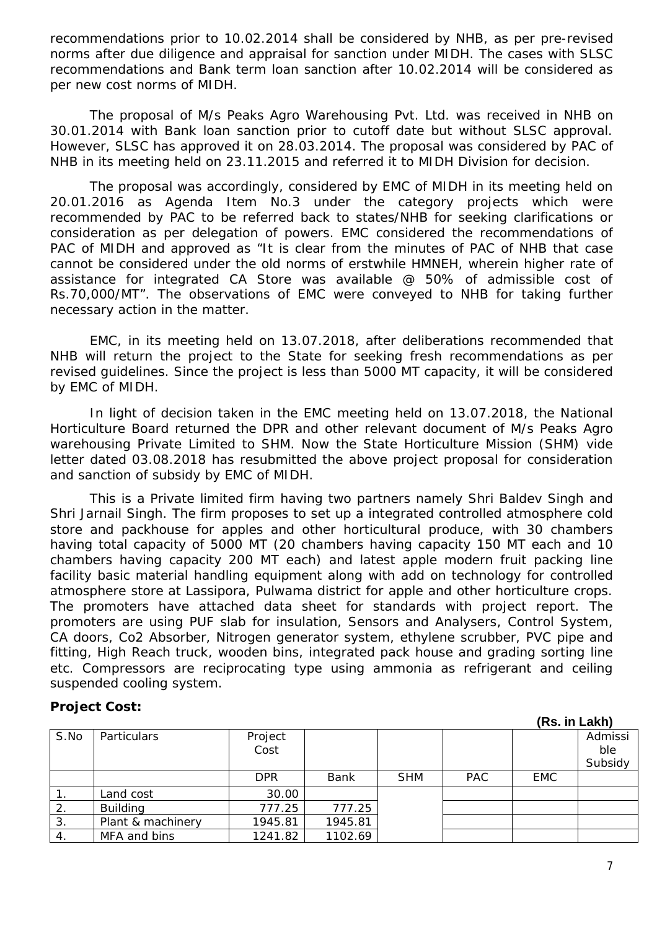recommendations prior to 10.02.2014 shall be considered by NHB, as per pre-revised norms after due diligence and appraisal for sanction under MIDH. The cases with SLSC recommendations and Bank term loan sanction after 10.02.2014 will be considered as per new cost norms of MIDH.

The proposal of M/s Peaks Agro Warehousing Pvt. Ltd. was received in NHB on 30.01.2014 with Bank loan sanction prior to cutoff date but without SLSC approval. However, SLSC has approved it on 28.03.2014. The proposal was considered by PAC of NHB in its meeting held on 23.11.2015 and referred it to MIDH Division for decision.

The proposal was accordingly, considered by EMC of MIDH in its meeting held on 20.01.2016 as Agenda Item No.3 under the category projects which were recommended by PAC to be referred back to states/NHB for seeking clarifications or consideration as per delegation of powers. EMC considered the recommendations of PAC of MIDH and approved as "It is clear from the minutes of PAC of NHB that case cannot be considered under the old norms of erstwhile HMNEH, wherein higher rate of assistance for integrated CA Store was available @ 50% of admissible cost of Rs.70,000/MT". The observations of EMC were conveyed to NHB for taking further necessary action in the matter.

EMC, in its meeting held on 13.07.2018, after deliberations recommended that NHB will return the project to the State for seeking fresh recommendations as per revised guidelines. Since the project is less than 5000 MT capacity, it will be considered by EMC of MIDH.

In light of decision taken in the EMC meeting held on 13.07.2018, the National Horticulture Board returned the DPR and other relevant document of M/s Peaks Agro warehousing Private Limited to SHM. Now the State Horticulture Mission (SHM) vide letter dated 03.08.2018 has resubmitted the above project proposal for consideration and sanction of subsidy by EMC of MIDH.

This is a Private limited firm having two partners namely Shri Baldev Singh and Shri Jarnail Singh. The firm proposes to set up a integrated controlled atmosphere cold store and packhouse for apples and other horticultural produce, with 30 chambers having total capacity of 5000 MT (20 chambers having capacity 150 MT each and 10 chambers having capacity 200 MT each) and latest apple modern fruit packing line facility basic material handling equipment along with add on technology for controlled atmosphere store at Lassipora, Pulwama district for apple and other horticulture crops. The promoters have attached data sheet for standards with project report. The promoters are using PUF slab for insulation, Sensors and Analysers, Control System, CA doors, Co2 Absorber, Nitrogen generator system, ethylene scrubber, PVC pipe and fitting, High Reach truck, wooden bins, integrated pack house and grading sorting line etc. Compressors are reciprocating type using ammonia as refrigerant and ceiling suspended cooling system.

#### **Project Cost:**

**(Rs. in Lakh)**

| S.No | Particulars       | Project    |         |            |            |            | Admissi |
|------|-------------------|------------|---------|------------|------------|------------|---------|
|      |                   | Cost       |         |            |            |            | ble     |
|      |                   |            |         |            |            |            | Subsidy |
|      |                   | <b>DPR</b> | Bank    | <b>SHM</b> | <b>PAC</b> | <b>EMC</b> |         |
|      | Land cost         | 30.00      |         |            |            |            |         |
| 2.   | <b>Building</b>   | 777.25     | 777.25  |            |            |            |         |
| 3.   | Plant & machinery | 1945.81    | 1945.81 |            |            |            |         |
| 4.   | MFA and bins      | 1241.82    | 1102.69 |            |            |            |         |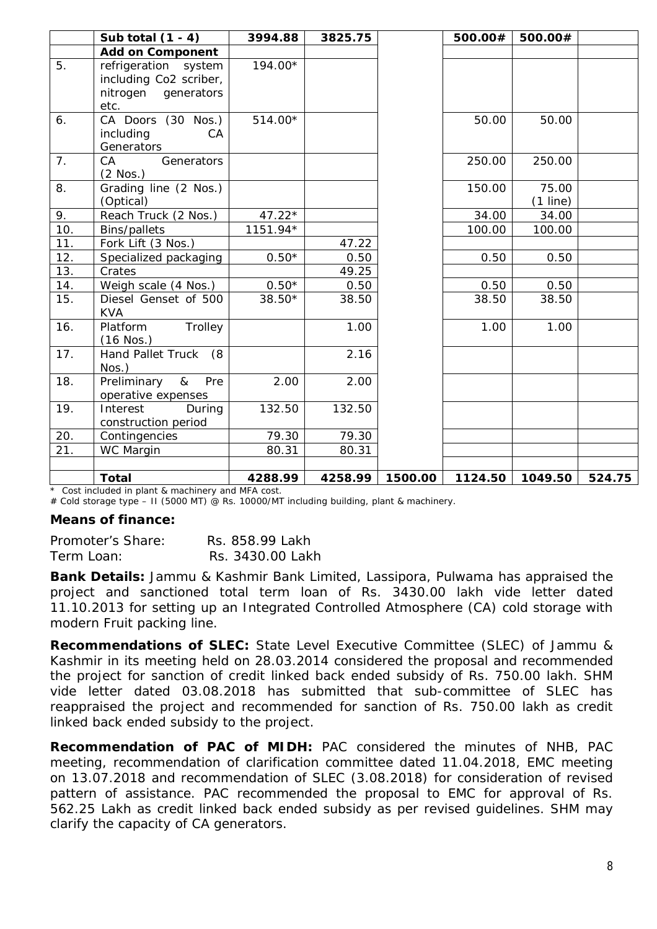|     | Sub total $(1 - 4)$                                                     | 3994.88  | 3825.75 |         | 500.00# | 500.00#    |        |
|-----|-------------------------------------------------------------------------|----------|---------|---------|---------|------------|--------|
|     | <b>Add on Component</b>                                                 |          |         |         |         |            |        |
| 5.  | refrigeration system                                                    | 194.00*  |         |         |         |            |        |
|     | including Co2 scriber,                                                  |          |         |         |         |            |        |
|     | nitrogen<br>generators                                                  |          |         |         |         |            |        |
|     | etc.                                                                    |          |         |         |         |            |        |
| 6.  | CA Doors (30 Nos.)                                                      | 514.00*  |         |         | 50.00   | 50.00      |        |
|     | including<br>CA                                                         |          |         |         |         |            |        |
|     | Generators                                                              |          |         |         |         |            |        |
| 7.  | Generators<br>CA                                                        |          |         |         | 250.00  | 250.00     |        |
|     | $(2$ Nos.)                                                              |          |         |         |         |            |        |
| 8.  | Grading line (2 Nos.)                                                   |          |         |         | 150.00  | 75.00      |        |
|     | (Optical)                                                               |          |         |         |         | $(1$ line) |        |
| 9.  | Reach Truck (2 Nos.)                                                    | $47.22*$ |         |         | 34.00   | 34.00      |        |
| 10. | <b>Bins/pallets</b>                                                     | 1151.94* |         |         | 100.00  | 100.00     |        |
| 11. | Fork Lift (3 Nos.)                                                      |          | 47.22   |         |         |            |        |
| 12. | Specialized packaging                                                   | $0.50*$  | 0.50    |         | 0.50    | 0.50       |        |
| 13. | Crates                                                                  |          | 49.25   |         |         |            |        |
| 14. | Weigh scale (4 Nos.)                                                    | $0.50*$  | 0.50    |         | 0.50    | 0.50       |        |
| 15. | Diesel Genset of 500<br><b>KVA</b>                                      | $38.50*$ | 38.50   |         | 38.50   | 38.50      |        |
| 16. | Trolley<br>Platform                                                     |          | 1.00    |         | 1.00    | 1.00       |        |
|     | $(16$ Nos.)                                                             |          |         |         |         |            |        |
| 17. | <b>Hand Pallet Truck</b><br>(8<br>Nos.)                                 |          | 2.16    |         |         |            |        |
| 18. | Preliminary<br>$\&$<br>Pre                                              | 2.00     | 2.00    |         |         |            |        |
|     | operative expenses                                                      |          |         |         |         |            |        |
| 19. | Interest<br>During<br>construction period                               | 132.50   | 132.50  |         |         |            |        |
| 20. | Contingencies                                                           | 79.30    | 79.30   |         |         |            |        |
| 21. | WC Margin                                                               | 80.31    | 80.31   |         |         |            |        |
|     |                                                                         |          |         |         |         |            |        |
|     | <b>Total</b><br>$\star$ Cost included in plant 8 machinery and MEA cost | 4288.99  | 4258.99 | 1500.00 | 1124.50 | 1049.50    | 524.75 |

Cost included in plant & machinery and MFA cost.

# Cold storage type – II (5000 MT) @ Rs. 10000/MT including building, plant & machinery.

#### **Means of finance:**

| Promoter's Share: | Rs. 858.99 Lakh  |
|-------------------|------------------|
| Term Loan:        | Rs. 3430.00 Lakh |

**Bank Details:** Jammu & Kashmir Bank Limited, Lassipora, Pulwama has appraised the project and sanctioned total term loan of Rs. 3430.00 lakh vide letter dated 11.10.2013 for setting up an Integrated Controlled Atmosphere (CA) cold storage with modern Fruit packing line.

**Recommendations of SLEC:** State Level Executive Committee (SLEC) of Jammu & Kashmir in its meeting held on 28.03.2014 considered the proposal and recommended the project for sanction of credit linked back ended subsidy of Rs. 750.00 lakh. SHM vide letter dated 03.08.2018 has submitted that sub-committee of SLEC has reappraised the project and recommended for sanction of Rs. 750.00 lakh as credit linked back ended subsidy to the project.

**Recommendation of PAC of MIDH:** PAC considered the minutes of NHB, PAC meeting, recommendation of clarification committee dated 11.04.2018, EMC meeting on 13.07.2018 and recommendation of SLEC (3.08.2018) for consideration of revised pattern of assistance. PAC recommended the proposal to EMC for approval of Rs. 562.25 Lakh as credit linked back ended subsidy as per revised guidelines. SHM may clarify the capacity of CA generators.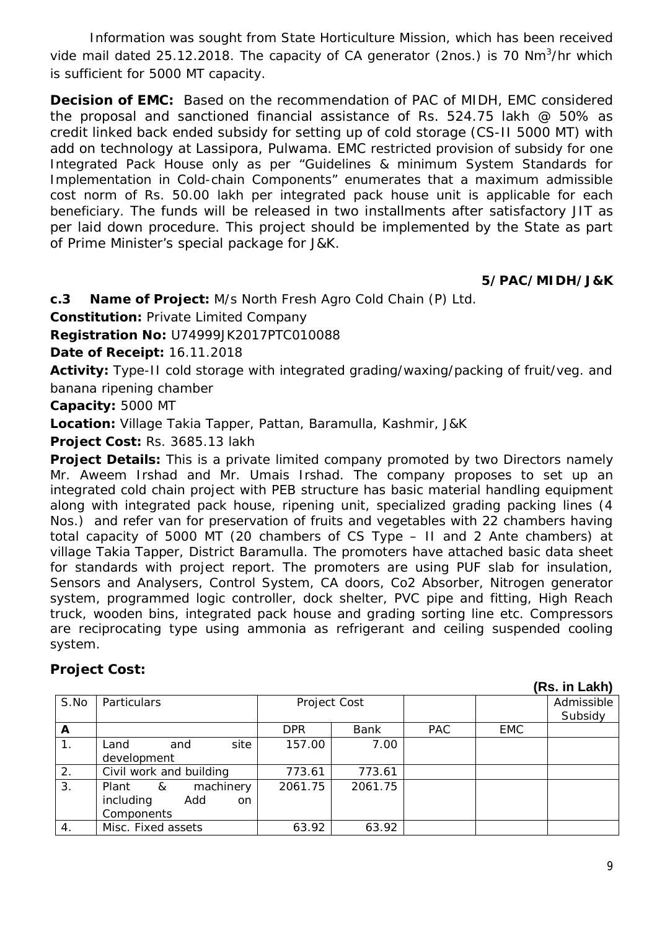Information was sought from State Horticulture Mission, which has been received vide mail dated 25.12.2018. The capacity of CA generator (2nos.) is 70 Nm<sup>3</sup>/hr which is sufficient for 5000 MT capacity.

**Decision of EMC:** Based on the recommendation of PAC of MIDH, EMC considered the proposal and sanctioned financial assistance of Rs. 524.75 lakh @ 50% as credit linked back ended subsidy for setting up of cold storage (CS-II 5000 MT) with add on technology at Lassipora, Pulwama. EMC restricted provision of subsidy for one Integrated Pack House only as per "Guidelines & minimum System Standards for Implementation in Cold-chain Components" enumerates that a maximum admissible cost norm of Rs. 50.00 lakh per integrated pack house unit is applicable for each beneficiary. The funds will be released in two installments after satisfactory JIT as per laid down procedure. This project should be implemented by the State as part of Prime Minister's special package for J&K.

## **5/PAC/MIDH/J&K**

**c.3 Name of Project:** M/s North Fresh Agro Cold Chain (P) Ltd.

**Constitution:** Private Limited Company

**Registration No:** U74999JK2017PTC010088

**Date of Receipt:** 16.11.2018

**Activity:** Type-II cold storage with integrated grading/waxing/packing of fruit/veg. and banana ripening chamber

**Capacity:** 5000 MT

**Location:** Village Takia Tapper, Pattan, Baramulla, Kashmir, J&K

**Project Cost:** Rs. 3685.13 lakh

**Project Details:** This is a private limited company promoted by two Directors namely Mr. Aweem Irshad and Mr. Umais Irshad. The company proposes to set up an integrated cold chain project with PEB structure has basic material handling equipment along with integrated pack house, ripening unit, specialized grading packing lines (4 Nos.) and refer van for preservation of fruits and vegetables with 22 chambers having total capacity of 5000 MT (20 chambers of CS Type – II and 2 Ante chambers) at village Takia Tapper, District Baramulla. The promoters have attached basic data sheet for standards with project report. The promoters are using PUF slab for insulation, Sensors and Analysers, Control System, CA doors, Co2 Absorber, Nitrogen generator system, programmed logic controller, dock shelter, PVC pipe and fitting, High Reach truck, wooden bins, integrated pack house and grading sorting line etc. Compressors are reciprocating type using ammonia as refrigerant and ceiling suspended cooling system.

## **Project Cost:**

|      |                                                                            |              |         |            |            | 119.111 201111        |
|------|----------------------------------------------------------------------------|--------------|---------|------------|------------|-----------------------|
| S.No | Particulars                                                                | Project Cost |         |            |            | Admissible<br>Subsidy |
| A    |                                                                            | <b>DPR</b>   | Bank    | <b>PAC</b> | <b>EMC</b> |                       |
|      | site<br>Land<br>and<br>development                                         | 157.00       | 7.00    |            |            |                       |
| 2.   | Civil work and building                                                    | 773.61       | 773.61  |            |            |                       |
| 3.   | machinery<br>Plant<br>&<br>including<br>Add<br><sub>on</sub><br>Components | 2061.75      | 2061.75 |            |            |                       |
| 4.   | Misc. Fixed assets                                                         | 63.92        | 63.92   |            |            |                       |

 **(Rs. in Lakh)**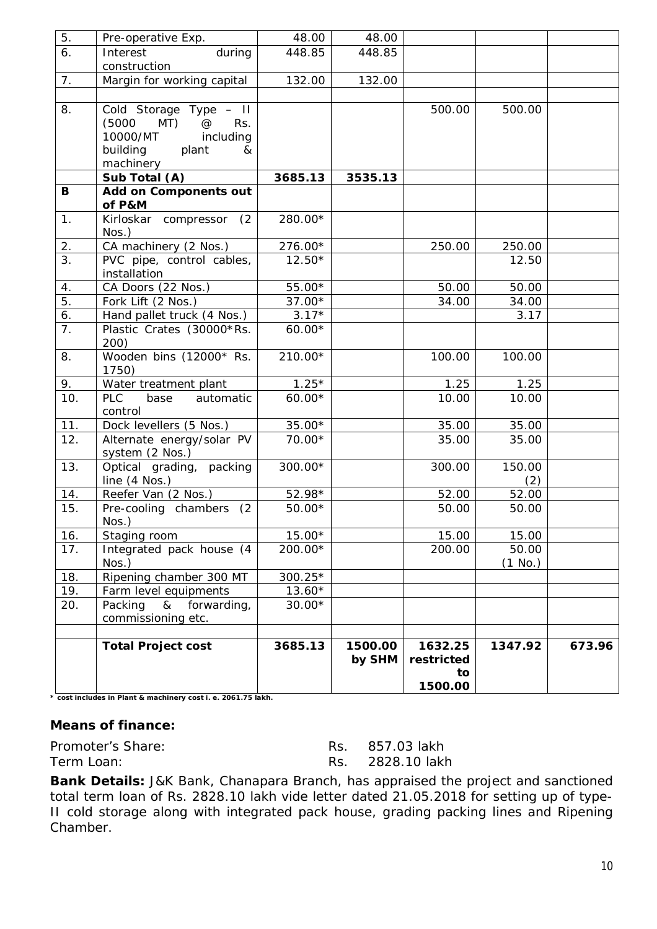| 5.               | Pre-operative Exp.                           | 48.00    | 48.00             |                                        |         |        |
|------------------|----------------------------------------------|----------|-------------------|----------------------------------------|---------|--------|
| 6.               | Interest<br>during                           | 448.85   | 448.85            |                                        |         |        |
|                  | construction                                 |          |                   |                                        |         |        |
| 7.               | Margin for working capital                   | 132.00   | 132.00            |                                        |         |        |
|                  |                                              |          |                   |                                        |         |        |
| 8.               | Cold Storage Type - II                       |          |                   | 500.00                                 | 500.00  |        |
|                  | (5000)<br>MT)<br>$^{\copyright}$<br>Rs.      |          |                   |                                        |         |        |
|                  | 10000/MT<br>including                        |          |                   |                                        |         |        |
|                  | building<br>plant<br>&                       |          |                   |                                        |         |        |
|                  | machinery                                    |          |                   |                                        |         |        |
|                  | Sub Total (A)                                | 3685.13  | 3535.13           |                                        |         |        |
| B                | Add on Components out<br>of P&M              |          |                   |                                        |         |        |
| 1.               | Kirloskar compressor (2                      | 280.00*  |                   |                                        |         |        |
|                  | Nos.)                                        |          |                   |                                        |         |        |
| 2.               | CA machinery (2 Nos.)                        | 276.00*  |                   | 250.00                                 | 250.00  |        |
| $\overline{3}$ . | PVC pipe, control cables,<br>installation    | $12.50*$ |                   |                                        | 12.50   |        |
| 4.               | CA Doors (22 Nos.)                           | 55.00*   |                   | 50.00                                  | 50.00   |        |
| 5.               | Fork Lift (2 Nos.)                           | 37.00*   |                   | 34.00                                  | 34.00   |        |
| 6.               | Hand pallet truck (4 Nos.)                   | $3.17*$  |                   |                                        | 3.17    |        |
| 7.               | Plastic Crates (30000*Rs.<br>200)            | $60.00*$ |                   |                                        |         |        |
| 8.               | Wooden bins (12000* Rs.<br>1750)             | 210.00*  |                   | 100.00                                 | 100.00  |        |
| 9.               | Water treatment plant                        | $1.25*$  |                   | 1.25                                   | 1.25    |        |
| 10.              | <b>PLC</b><br>automatic<br>base<br>control   | $60.00*$ |                   | 10.00                                  | 10.00   |        |
| 11.              | Dock levellers (5 Nos.)                      | $35.00*$ |                   | 35.00                                  | 35.00   |        |
| 12.              | Alternate energy/solar PV<br>system (2 Nos.) | 70.00*   |                   | 35.00                                  | 35.00   |        |
| 13.              | Optical grading, packing                     | 300.00*  |                   | 300.00                                 | 150.00  |        |
|                  | line (4 Nos.)                                |          |                   |                                        | (2)     |        |
| 14.              | Reefer Van (2 Nos.)                          | 52.98*   |                   | 52.00                                  | 52.00   |        |
| 15.              | Pre-cooling chambers (2<br>$N$ os.)          | $50.00*$ |                   | 50.00                                  | 50.00   |        |
| 16.              | Staging room                                 | $15.00*$ |                   | 15.00                                  | 15.00   |        |
| 17.              | Integrated pack house (4                     | 200.00*  |                   | 200.00                                 | 50.00   |        |
|                  | Nos.)                                        |          |                   |                                        | (1 No.) |        |
| 18.              | Ripening chamber 300 MT                      | 300.25*  |                   |                                        |         |        |
| 19.              | Farm level equipments                        | $13.60*$ |                   |                                        |         |        |
| 20.              | Packing<br>forwarding,<br>&                  | $30.00*$ |                   |                                        |         |        |
|                  | commissioning etc.                           |          |                   |                                        |         |        |
|                  | <b>Total Project cost</b>                    | 3685.13  | 1500.00<br>by SHM | 1632.25<br>restricted<br>to<br>1500.00 | 1347.92 | 673.96 |

**\* cost includes in Plant & machinery cost i. e. 2061.75 lakh.**

#### **Means of finance:**

Promoter's Share: Rs. 857.03 lakh Term Loan: Term Loan: Rs. 2828.10 lakh

**Bank Details:** J&K Bank, Chanapara Branch, has appraised the project and sanctioned total term loan of Rs. 2828.10 lakh vide letter dated 21.05.2018 for setting up of type-II cold storage along with integrated pack house, grading packing lines and Ripening Chamber.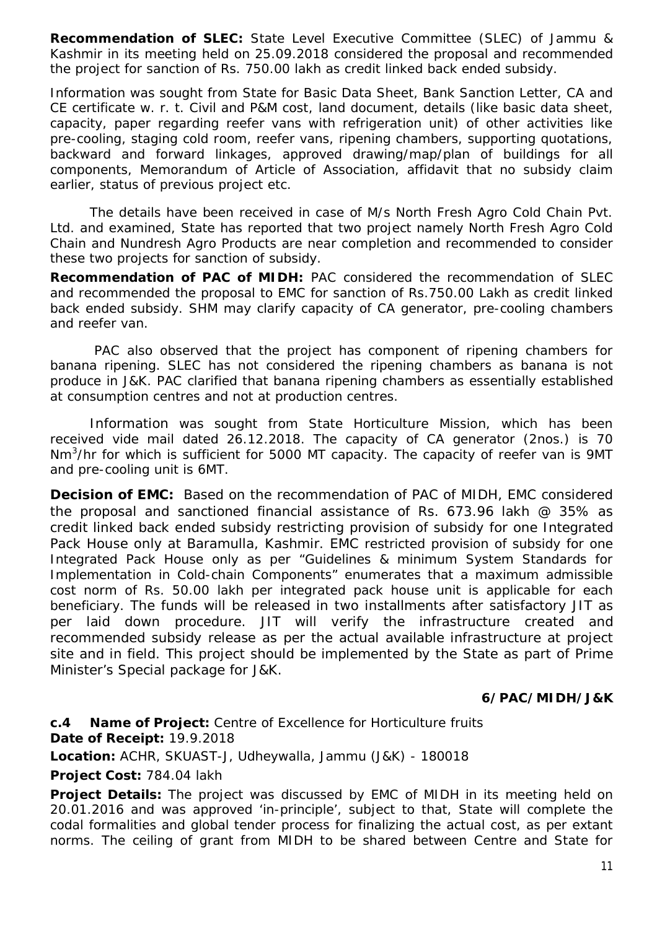**Recommendation of SLEC:** State Level Executive Committee (SLEC) of Jammu & Kashmir in its meeting held on 25.09.2018 considered the proposal and recommended the project for sanction of Rs. 750.00 lakh as credit linked back ended subsidy.

Information was sought from State for Basic Data Sheet, Bank Sanction Letter, CA and CE certificate w. r. t. Civil and P&M cost, land document, details (like basic data sheet, capacity, paper regarding reefer vans with refrigeration unit) of other activities like pre-cooling, staging cold room, reefer vans, ripening chambers, supporting quotations, backward and forward linkages, approved drawing/map/plan of buildings for all components, Memorandum of Article of Association, affidavit that no subsidy claim earlier, status of previous project etc.

The details have been received in case of M/s North Fresh Agro Cold Chain Pvt. Ltd. and examined, State has reported that two project namely North Fresh Agro Cold Chain and Nundresh Agro Products are near completion and recommended to consider these two projects for sanction of subsidy.

**Recommendation of PAC of MIDH:** PAC considered the recommendation of SLEC and recommended the proposal to EMC for sanction of Rs.750.00 Lakh as credit linked back ended subsidy. SHM may clarify capacity of CA generator, pre-cooling chambers and reefer van.

PAC also observed that the project has component of ripening chambers for banana ripening. SLEC has not considered the ripening chambers as banana is not produce in J&K. PAC clarified that banana ripening chambers as essentially established at consumption centres and not at production centres.

Information was sought from State Horticulture Mission, which has been received vide mail dated 26.12.2018. The capacity of CA generator (2nos.) is 70 Nm<sup>3</sup>/hr for which is sufficient for 5000 MT capacity. The capacity of reefer van is 9MT and pre-cooling unit is 6MT.

**Decision of EMC:** Based on the recommendation of PAC of MIDH, EMC considered the proposal and sanctioned financial assistance of Rs. 673.96 lakh  $\varnothing$  35% as credit linked back ended subsidy restricting provision of subsidy for one Integrated Pack House only at Baramulla, Kashmir. EMC restricted provision of subsidy for one Integrated Pack House only as per "Guidelines & minimum System Standards for Implementation in Cold-chain Components" enumerates that a maximum admissible cost norm of Rs. 50.00 lakh per integrated pack house unit is applicable for each beneficiary. The funds will be released in two installments after satisfactory JIT as per laid down procedure. JIT will verify the infrastructure created and recommended subsidy release as per the actual available infrastructure at project site and in field. This project should be implemented by the State as part of Prime Minister's Special package for J&K.

## **6/PAC/MIDH/J&K**

**c.4 Name of Project:** Centre of Excellence for Horticulture fruits **Date of Receipt:** 19.9.2018

**Location:** ACHR, SKUAST-J, Udheywalla, Jammu (J&K) - 180018

**Project Cost:** 784.04 lakh

**Project Details:** The project was discussed by EMC of MIDH in its meeting held on 20.01.2016 and was approved 'in-principle', subject to that, State will complete the codal formalities and global tender process for finalizing the actual cost, as per extant norms. The ceiling of grant from MIDH to be shared between Centre and State for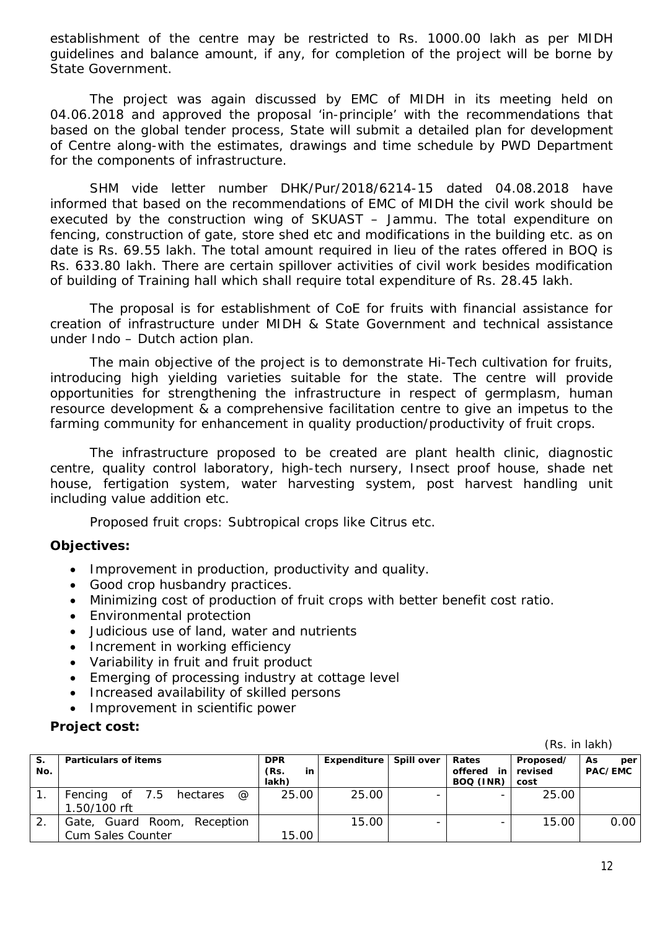establishment of the centre may be restricted to Rs. 1000.00 lakh as per MIDH guidelines and balance amount, if any, for completion of the project will be borne by State Government.

The project was again discussed by EMC of MIDH in its meeting held on 04.06.2018 and approved the proposal 'in-principle' with the recommendations that based on the global tender process, State will submit a detailed plan for development of Centre along-with the estimates, drawings and time schedule by PWD Department for the components of infrastructure.

SHM vide letter number DHK/Pur/2018/6214-15 dated 04.08.2018 have informed that based on the recommendations of EMC of MIDH the civil work should be executed by the construction wing of SKUAST – Jammu. The total expenditure on fencing, construction of gate, store shed etc and modifications in the building etc. as on date is Rs. 69.55 lakh. The total amount required in lieu of the rates offered in BOQ is Rs. 633.80 lakh. There are certain spillover activities of civil work besides modification of building of Training hall which shall require total expenditure of Rs. 28.45 lakh.

The proposal is for establishment of CoE for fruits with financial assistance for creation of infrastructure under MIDH & State Government and technical assistance under Indo – Dutch action plan.

The main objective of the project is to demonstrate Hi-Tech cultivation for fruits, introducing high yielding varieties suitable for the state. The centre will provide opportunities for strengthening the infrastructure in respect of germplasm, human resource development & a comprehensive facilitation centre to give an impetus to the farming community for enhancement in quality production/productivity of fruit crops.

The infrastructure proposed to be created are plant health clinic, diagnostic centre, quality control laboratory, high-tech nursery, Insect proof house, shade net house, fertigation system, water harvesting system, post harvest handling unit including value addition etc.

Proposed fruit crops: Subtropical crops like Citrus etc.

## **Objectives:**

- Improvement in production, productivity and quality.
- Good crop husbandry practices.
- Minimizing cost of production of fruit crops with better benefit cost ratio.
- Environmental protection
- Judicious use of land, water and nutrients
- Increment in working efficiency
- Variability in fruit and fruit product
- **Emerging of processing industry at cottage levellenge in**
- Increased availability of skilled persons
- Improvement in scientific power

#### **Project cost:**

| S.  | <b>Particulars of items</b>                     | <b>DPR</b> | Expenditure Spill over | Rates           | Proposed/ | As<br>per |
|-----|-------------------------------------------------|------------|------------------------|-----------------|-----------|-----------|
| No. |                                                 | (Rs.<br>in |                        | offered<br>in I | revised   | PAC/EMC   |
|     |                                                 | lakh)      |                        | BOQ (INR)       | cost      |           |
|     | Fencing of 7.5 hectares<br>$^{\textregistered}$ | 25.00      | 25.00                  |                 | 25.00     |           |
|     | 1.50/100 rft                                    |            |                        |                 |           |           |
|     | Gate, Guard Room, Reception                     |            | 15.00                  |                 | 15.00     | 0.00      |
|     | Cum Sales Counter                               | 15.00      |                        |                 |           |           |

(Rs. in lakh)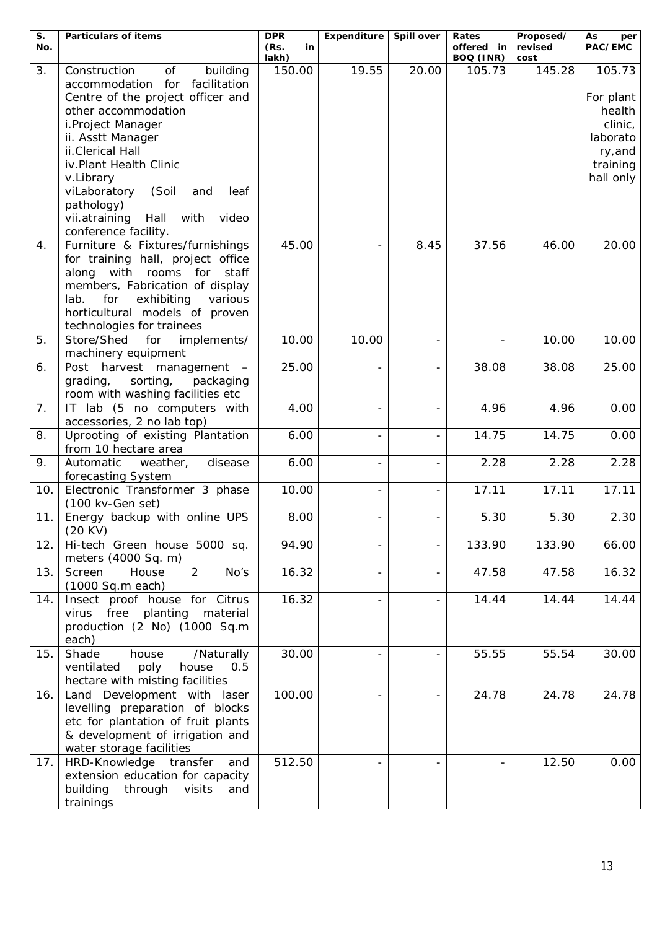| S.  | <b>Particulars of items</b>                                                                                                                                                                                         | <b>DPR</b>          | Expenditure | Spill over               | Rates                   | Proposed/       | As<br>per                     |
|-----|---------------------------------------------------------------------------------------------------------------------------------------------------------------------------------------------------------------------|---------------------|-------------|--------------------------|-------------------------|-----------------|-------------------------------|
| No. |                                                                                                                                                                                                                     | (Rs.<br>in<br>lakh) |             |                          | offered in<br>BOQ (INR) | revised<br>cost | PAC/EMC                       |
| 3.  | of<br>Construction<br>building<br>accommodation for facilitation<br>Centre of the project officer and<br>other accommodation                                                                                        | 150.00              | 19.55       | 20.00                    | 105.73                  | 145.28          | 105.73<br>For plant<br>health |
|     | i.Project Manager<br>ii. Asstt Manager                                                                                                                                                                              |                     |             |                          |                         |                 | clinic,<br>laborato           |
|     | ii.Clerical Hall<br>iv.Plant Health Clinic                                                                                                                                                                          |                     |             |                          |                         |                 | ry, and                       |
|     | v.Library                                                                                                                                                                                                           |                     |             |                          |                         |                 | training<br>hall only         |
|     | viLaboratory<br>(Soil<br>leaf<br>and<br>pathology)                                                                                                                                                                  |                     |             |                          |                         |                 |                               |
|     | vii.atraining<br>Hall<br>with<br>video<br>conference facility.                                                                                                                                                      |                     |             |                          |                         |                 |                               |
| 4.  | Furniture & Fixtures/furnishings<br>for training hall, project office<br>along with rooms for<br>staff<br>members, Fabrication of display<br>for<br>exhibiting<br>lab.<br>various<br>horticultural models of proven | 45.00               |             | 8.45                     | 37.56                   | 46.00           | 20.00                         |
|     | technologies for trainees                                                                                                                                                                                           |                     |             |                          |                         |                 |                               |
| 5.  | Store/Shed for implements/<br>machinery equipment                                                                                                                                                                   | 10.00               | 10.00       |                          |                         | 10.00           | 10.00                         |
| 6.  | Post harvest management<br>grading,<br>sorting,<br>packaging<br>room with washing facilities etc                                                                                                                    | 25.00               |             |                          | 38.08                   | 38.08           | 25.00                         |
| 7.  | IT lab (5 no computers with<br>accessories, 2 no lab top)                                                                                                                                                           | 4.00                |             |                          | 4.96                    | 4.96            | 0.00                          |
| 8.  | Uprooting of existing Plantation<br>from 10 hectare area                                                                                                                                                            | 6.00                |             | $\overline{a}$           | 14.75                   | 14.75           | 0.00                          |
| 9.  | Automatic<br>weather,<br>disease<br>forecasting System                                                                                                                                                              | 6.00                |             | $\overline{\phantom{a}}$ | 2.28                    | 2.28            | 2.28                          |
| 10. | Electronic Transformer 3 phase<br>(100 kv-Gen set)                                                                                                                                                                  | 10.00               |             |                          | 17.11                   | 17.11           | 17.11                         |
| 11. | Energy backup with online UPS<br>(20 KV)                                                                                                                                                                            | 8.00                |             |                          | 5.30                    | 5.30            | 2.30                          |
| 12. | Hi-tech Green house 5000 sq.<br>meters (4000 Sq. m)                                                                                                                                                                 | 94.90               |             |                          | 133.90                  | 133.90          | 66.00                         |
| 13. | $\overline{2}$<br>House<br>No's<br>Screen<br>$(1000$ Sq.m each)                                                                                                                                                     | 16.32               |             |                          | 47.58                   | 47.58           | 16.32                         |
| 14. | Insect proof house for Citrus<br>planting<br>virus free<br>material<br>production (2 No) (1000 Sq.m<br>each)                                                                                                        | 16.32               |             |                          | 14.44                   | 14.44           | 14.44                         |
| 15. | Shade<br>house<br>/Naturally<br>house<br>ventilated<br>poly<br>0.5<br>hectare with misting facilities                                                                                                               | 30.00               |             |                          | 55.55                   | 55.54           | 30.00                         |
| 16. | Land Development with laser<br>levelling preparation of blocks<br>etc for plantation of fruit plants<br>& development of irrigation and<br>water storage facilities                                                 | 100.00              |             | $\overline{\phantom{0}}$ | 24.78                   | 24.78           | 24.78                         |
| 17. | HRD-Knowledge transfer<br>and<br>extension education for capacity<br>building<br>through<br>visits<br>and<br>trainings                                                                                              | 512.50              |             |                          |                         | 12.50           | 0.00                          |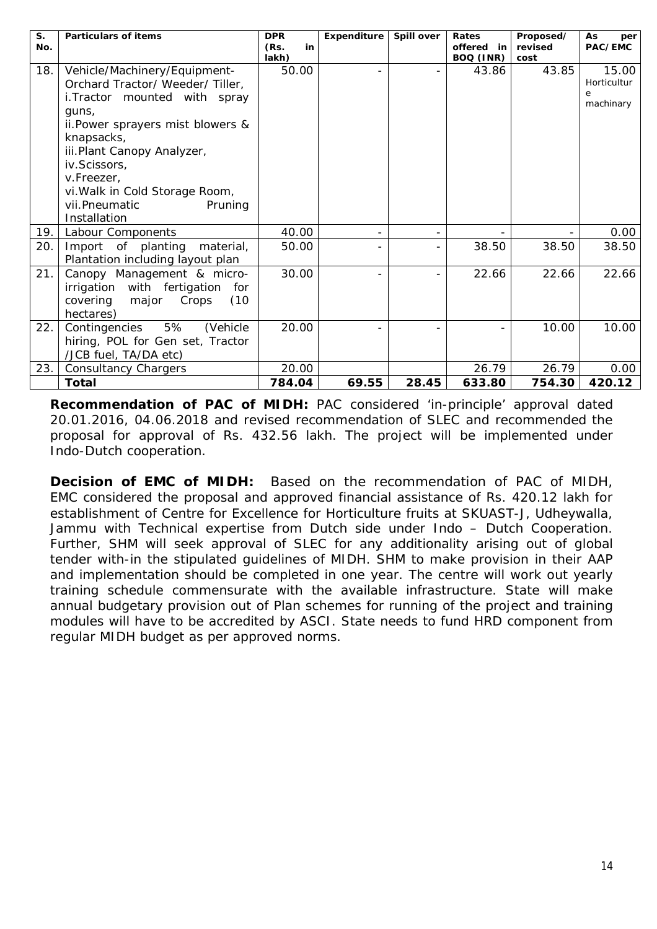| $S_{1}$<br>No. | <b>Particulars of items</b>           | <b>DPR</b><br>(Rs.<br>in | Expenditure | Spill over | Rates<br>offered in | Proposed/<br>revised | As<br>per<br>PAC/EMC |
|----------------|---------------------------------------|--------------------------|-------------|------------|---------------------|----------------------|----------------------|
|                |                                       | lakh)                    |             |            | BOQ (INR)           | cost                 |                      |
| 18.            | Vehicle/Machinery/Equipment-          | 50.00                    |             |            | 43.86               | 43.85                | 15.00                |
|                | Orchard Tractor/Weeder/Tiller,        |                          |             |            |                     |                      | Horticultur          |
|                | i. Tractor mounted with spray         |                          |             |            |                     |                      | e<br>machinary       |
|                | quns,                                 |                          |             |            |                     |                      |                      |
|                | ii. Power sprayers mist blowers &     |                          |             |            |                     |                      |                      |
|                | knapsacks,                            |                          |             |            |                     |                      |                      |
|                | iii.Plant Canopy Analyzer,            |                          |             |            |                     |                      |                      |
|                | iv.Scissors,                          |                          |             |            |                     |                      |                      |
|                | v.Freezer.                            |                          |             |            |                     |                      |                      |
|                | vi. Walk in Cold Storage Room,        |                          |             |            |                     |                      |                      |
|                | vii.Pneumatic<br>Pruning              |                          |             |            |                     |                      |                      |
|                | Installation                          |                          |             |            |                     |                      |                      |
| 19.            | Labour Components                     | 40.00                    |             | -          |                     |                      | 0.00                 |
| 20.            | Import of planting<br>material.       | 50.00                    |             | -          | 38.50               | 38.50                | 38.50                |
|                | Plantation including layout plan      |                          |             |            |                     |                      |                      |
| 21.            | Canopy Management & micro-            | 30.00                    |             |            | 22.66               | 22.66                | 22.66                |
|                | irrigation<br>with fertigation<br>for |                          |             |            |                     |                      |                      |
|                | Crops<br>covering<br>(10)<br>major    |                          |             |            |                     |                      |                      |
|                | hectares)                             |                          |             |            |                     |                      |                      |
| 22.            | 5%<br>(Vehicle<br>Contingencies       | 20.00                    |             |            |                     | 10.00                | 10.00                |
|                | hiring, POL for Gen set, Tractor      |                          |             |            |                     |                      |                      |
|                | /JCB fuel, TA/DA etc)                 |                          |             |            |                     |                      |                      |
| 23.            | <b>Consultancy Chargers</b>           | 20.00                    |             |            | 26.79               | 26.79                | 0.00                 |
|                | Total                                 | 784.04                   | 69.55       | 28.45      | 633.80              | 754.30               | 420.12               |

**Recommendation of PAC of MIDH:** PAC considered 'in-principle' approval dated 20.01.2016, 04.06.2018 and revised recommendation of SLEC and recommended the proposal for approval of Rs. 432.56 lakh. The project will be implemented under Indo-Dutch cooperation.

**Decision of EMC of MIDH:** Based on the recommendation of PAC of MIDH, EMC considered the proposal and approved financial assistance of Rs. 420.12 lakh for establishment of Centre for Excellence for Horticulture fruits at SKUAST-J, Udheywalla, Jammu with Technical expertise from Dutch side under Indo – Dutch Cooperation. Further, SHM will seek approval of SLEC for any additionality arising out of global tender with-in the stipulated guidelines of MIDH. SHM to make provision in their AAP and implementation should be completed in one year. The centre will work out yearly training schedule commensurate with the available infrastructure. State will make annual budgetary provision out of Plan schemes for running of the project and training modules will have to be accredited by ASCI. State needs to fund HRD component from regular MIDH budget as per approved norms.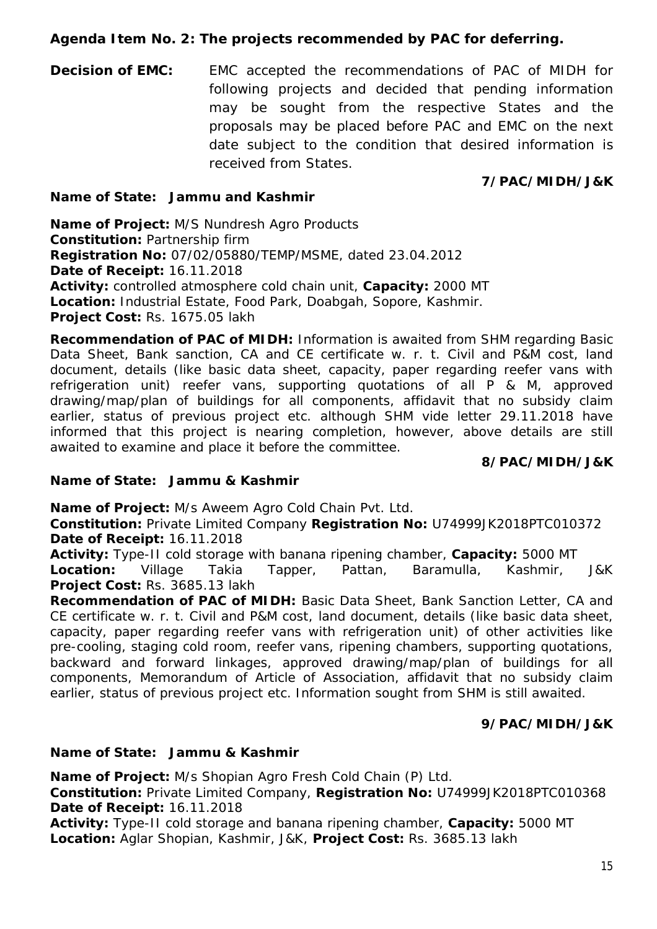## **Agenda Item No. 2: The projects recommended by PAC for deferring.**

**Decision of EMC:** EMC accepted the recommendations of PAC of MIDH for following projects and decided that pending information may be sought from the respective States and the proposals may be placed before PAC and EMC on the next date subject to the condition that desired information is received from States.

## **7/PAC/MIDH/J&K**

## **Name of State: Jammu and Kashmir**

**Name of Project:** M/S Nundresh Agro Products **Constitution:** Partnership firm **Registration No:** 07/02/05880/TEMP/MSME, dated 23.04.2012 **Date of Receipt:** 16.11.2018 **Activity:** controlled atmosphere cold chain unit, **Capacity:** 2000 MT **Location:** Industrial Estate, Food Park, Doabgah, Sopore, Kashmir. **Project Cost:** Rs. 1675.05 lakh

**Recommendation of PAC of MIDH:** Information is awaited from SHM regarding Basic Data Sheet, Bank sanction, CA and CE certificate w. r. t. Civil and P&M cost, land document, details (like basic data sheet, capacity, paper regarding reefer vans with refrigeration unit) reefer vans, supporting quotations of all P & M, approved drawing/map/plan of buildings for all components, affidavit that no subsidy claim earlier, status of previous project etc. although SHM vide letter 29.11.2018 have informed that this project is nearing completion, however, above details are still awaited to examine and place it before the committee.

## **8/PAC/MIDH/J&K**

## **Name of State: Jammu & Kashmir**

**Name of Project:** M/s Aweem Agro Cold Chain Pvt. Ltd.

**Constitution:** Private Limited Company **Registration No:** U74999JK2018PTC010372 **Date of Receipt:** 16.11.2018

**Activity:** Type-II cold storage with banana ripening chamber, **Capacity:** 5000 MT **Location:** Village Takia Tapper, Pattan, Baramulla, Kashmir, J&K **Project Cost:** Rs. 3685.13 lakh

**Recommendation of PAC of MIDH:** Basic Data Sheet, Bank Sanction Letter, CA and CE certificate w. r. t. Civil and P&M cost, land document, details (like basic data sheet, capacity, paper regarding reefer vans with refrigeration unit) of other activities like pre-cooling, staging cold room, reefer vans, ripening chambers, supporting quotations, backward and forward linkages, approved drawing/map/plan of buildings for all components, Memorandum of Article of Association, affidavit that no subsidy claim earlier, status of previous project etc. Information sought from SHM is still awaited.

## **9/PAC/MIDH/J&K**

## **Name of State: Jammu & Kashmir**

**Name of Project:** M/s Shopian Agro Fresh Cold Chain (P) Ltd.

**Constitution:** Private Limited Company, **Registration No:** U74999JK2018PTC010368 **Date of Receipt:** 16.11.2018

**Activity:** Type-II cold storage and banana ripening chamber, **Capacity:** 5000 MT **Location:** Aglar Shopian, Kashmir, J&K, **Project Cost:** Rs. 3685.13 lakh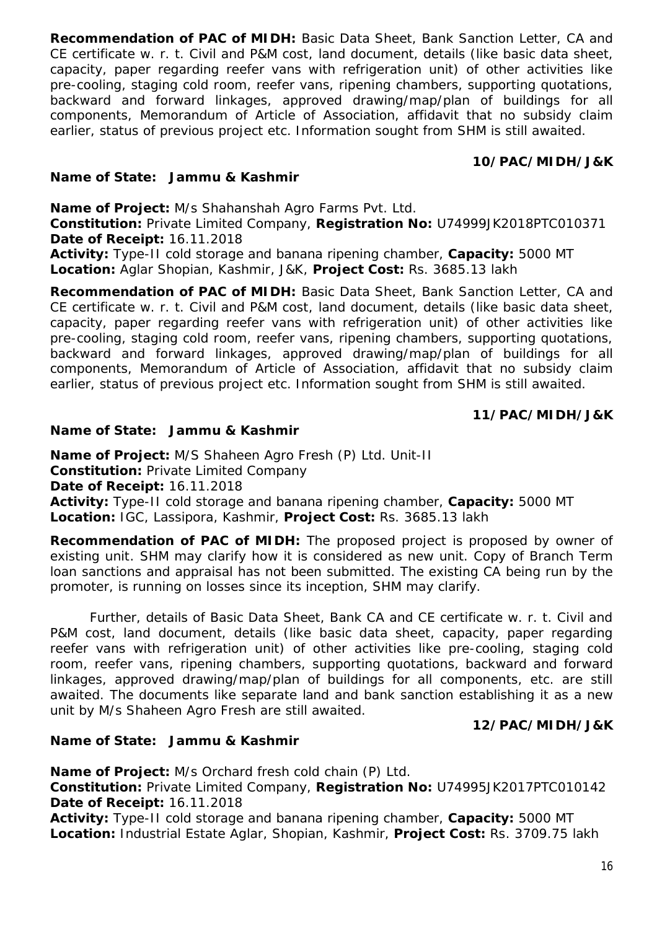**Recommendation of PAC of MIDH:** Basic Data Sheet, Bank Sanction Letter, CA and CE certificate w. r. t. Civil and P&M cost, land document, details (like basic data sheet, capacity, paper regarding reefer vans with refrigeration unit) of other activities like pre-cooling, staging cold room, reefer vans, ripening chambers, supporting quotations, backward and forward linkages, approved drawing/map/plan of buildings for all components, Memorandum of Article of Association, affidavit that no subsidy claim earlier, status of previous project etc. Information sought from SHM is still awaited.

## **10/PAC/MIDH/J&K**

## **Name of State: Jammu & Kashmir**

**Name of Project:** M/s Shahanshah Agro Farms Pvt. Ltd.

**Constitution:** Private Limited Company, **Registration No:** U74999JK2018PTC010371 **Date of Receipt:** 16.11.2018

**Activity:** Type-II cold storage and banana ripening chamber, **Capacity:** 5000 MT **Location:** Aglar Shopian, Kashmir, J&K, **Project Cost:** Rs. 3685.13 lakh

**Recommendation of PAC of MIDH:** Basic Data Sheet, Bank Sanction Letter, CA and CE certificate w. r. t. Civil and P&M cost, land document, details (like basic data sheet, capacity, paper regarding reefer vans with refrigeration unit) of other activities like pre-cooling, staging cold room, reefer vans, ripening chambers, supporting quotations, backward and forward linkages, approved drawing/map/plan of buildings for all components, Memorandum of Article of Association, affidavit that no subsidy claim earlier, status of previous project etc. Information sought from SHM is still awaited.

## **11/PAC/MIDH/J&K**

## **Name of State: Jammu & Kashmir**

**Name of Project:** M/S Shaheen Agro Fresh (P) Ltd. Unit-II **Constitution:** Private Limited Company **Date of Receipt:** 16.11.2018 **Activity:** Type-II cold storage and banana ripening chamber, **Capacity:** 5000 MT **Location:** IGC, Lassipora, Kashmir, **Project Cost:** Rs. 3685.13 lakh

**Recommendation of PAC of MIDH:** The proposed project is proposed by owner of existing unit. SHM may clarify how it is considered as new unit. Copy of Branch Term loan sanctions and appraisal has not been submitted. The existing CA being run by the promoter, is running on losses since its inception, SHM may clarify.

Further, details of Basic Data Sheet, Bank CA and CE certificate w. r. t. Civil and P&M cost, land document, details (like basic data sheet, capacity, paper regarding reefer vans with refrigeration unit) of other activities like pre-cooling, staging cold room, reefer vans, ripening chambers, supporting quotations, backward and forward linkages, approved drawing/map/plan of buildings for all components, etc. are still awaited. The documents like separate land and bank sanction establishing it as a new unit by M/s Shaheen Agro Fresh are still awaited.

## **12/PAC/MIDH/J&K**

## **Name of State: Jammu & Kashmir**

**Name of Project:** M/s Orchard fresh cold chain (P) Ltd. **Constitution:** Private Limited Company, **Registration No:** U74995JK2017PTC010142 **Date of Receipt:** 16.11.2018

**Activity:** Type-II cold storage and banana ripening chamber, **Capacity:** 5000 MT **Location:** Industrial Estate Aglar, Shopian, Kashmir, **Project Cost:** Rs. 3709.75 lakh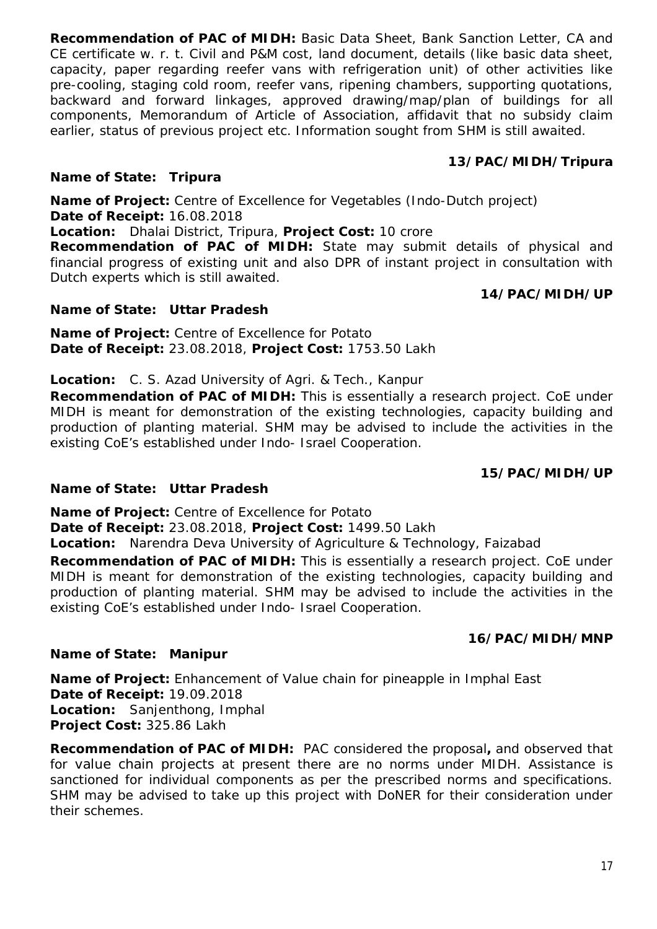**Recommendation of PAC of MIDH:** Basic Data Sheet, Bank Sanction Letter, CA and CE certificate w. r. t. Civil and P&M cost, land document, details (like basic data sheet, capacity, paper regarding reefer vans with refrigeration unit) of other activities like pre-cooling, staging cold room, reefer vans, ripening chambers, supporting quotations, backward and forward linkages, approved drawing/map/plan of buildings for all components, Memorandum of Article of Association, affidavit that no subsidy claim earlier, status of previous project etc. Information sought from SHM is still awaited.

## **13/PAC/MIDH/Tripura**

## **Name of State: Tripura**

**Name of Project:** Centre of Excellence for Vegetables (Indo-Dutch project) **Date of Receipt:** 16.08.2018

**Location:** Dhalai District, Tripura, **Project Cost:** 10 crore

**Recommendation of PAC of MIDH:** State may submit details of physical and financial progress of existing unit and also DPR of instant project in consultation with Dutch experts which is still awaited.

## **Name of State: Uttar Pradesh**

**Name of Project:** Centre of Excellence for Potato **Date of Receipt:** 23.08.2018, **Project Cost:** 1753.50 Lakh

## **Location:** C. S. Azad University of Agri. & Tech., Kanpur

**Recommendation of PAC of MIDH:** This is essentially a research project. CoE under MIDH is meant for demonstration of the existing technologies, capacity building and production of planting material. SHM may be advised to include the activities in the existing CoE's established under Indo- Israel Cooperation.

## **15/PAC/MIDH/UP**

## **Name of State: Uttar Pradesh**

**Name of Project:** Centre of Excellence for Potato

**Date of Receipt:** 23.08.2018, **Project Cost:** 1499.50 Lakh

**Location:** Narendra Deva University of Agriculture & Technology, Faizabad

**Recommendation of PAC of MIDH:** This is essentially a research project. CoE under MIDH is meant for demonstration of the existing technologies, capacity building and production of planting material. SHM may be advised to include the activities in the existing CoE's established under Indo- Israel Cooperation.

## **16/PAC/MIDH/MNP**

## **Name of State: Manipur**

**Name of Project:** Enhancement of Value chain for pineapple in Imphal East **Date of Receipt:** 19.09.2018 **Location:** Sanjenthong, Imphal **Project Cost:** 325.86 Lakh

**Recommendation of PAC of MIDH:** PAC considered the proposal**,** and observed that for value chain projects at present there are no norms under MIDH. Assistance is sanctioned for individual components as per the prescribed norms and specifications. SHM may be advised to take up this project with DoNER for their consideration under their schemes.

# **14/PAC/MIDH/UP**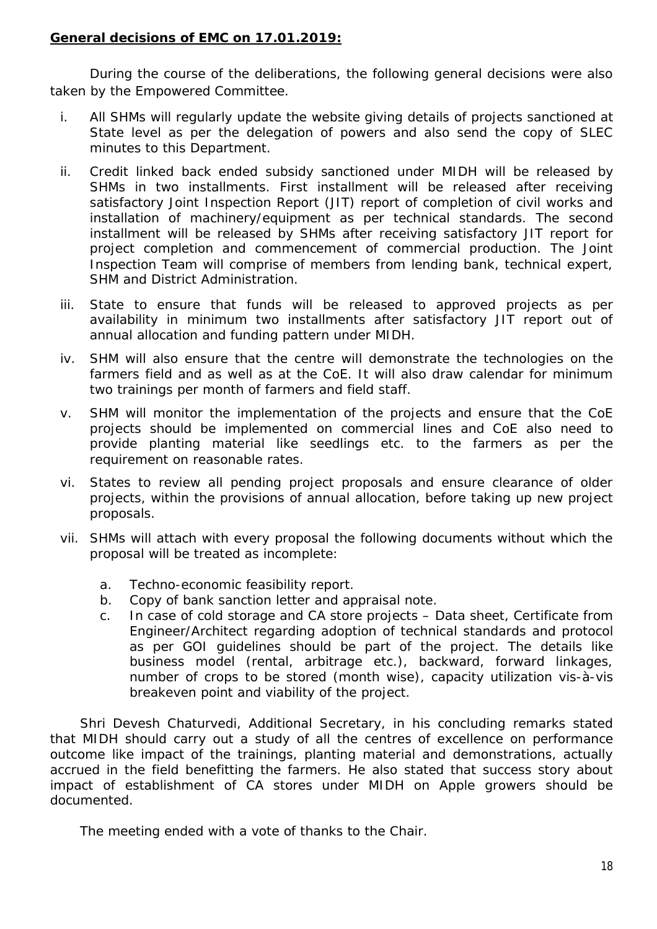## **General decisions of EMC on 17.01.2019:**

During the course of the deliberations, the following general decisions were also taken by the Empowered Committee.

- i. All SHMs will regularly update the website giving details of projects sanctioned at State level as per the delegation of powers and also send the copy of SLEC minutes to this Department.
- ii. Credit linked back ended subsidy sanctioned under MIDH will be released by SHMs in two installments. First installment will be released after receiving satisfactory Joint Inspection Report (JIT) report of completion of civil works and installation of machinery/equipment as per technical standards. The second installment will be released by SHMs after receiving satisfactory JIT report for project completion and commencement of commercial production. The Joint Inspection Team will comprise of members from lending bank, technical expert, SHM and District Administration.
- iii. State to ensure that funds will be released to approved projects as per availability in minimum two installments after satisfactory JIT report out of annual allocation and funding pattern under MIDH.
- iv. SHM will also ensure that the centre will demonstrate the technologies on the farmers field and as well as at the CoE. It will also draw calendar for minimum two trainings per month of farmers and field staff.
- v. SHM will monitor the implementation of the projects and ensure that the CoE projects should be implemented on commercial lines and CoE also need to provide planting material like seedlings etc. to the farmers as per the requirement on reasonable rates.
- vi. States to review all pending project proposals and ensure clearance of older projects, within the provisions of annual allocation, before taking up new project proposals.
- vii. SHMs will attach with every proposal the following documents without which the proposal will be treated as incomplete:
	- a. Techno-economic feasibility report.
	- b. Copy of bank sanction letter and appraisal note.
	- c. In case of cold storage and CA store projects Data sheet, Certificate from Engineer/Architect regarding adoption of technical standards and protocol as per GOI guidelines should be part of the project. The details like business model (rental, arbitrage etc.), backward, forward linkages, number of crops to be stored (month wise), capacity utilization vis-à-vis breakeven point and viability of the project.

Shri Devesh Chaturvedi, Additional Secretary, in his concluding remarks stated that MIDH should carry out a study of all the centres of excellence on performance outcome like impact of the trainings, planting material and demonstrations, actually accrued in the field benefitting the farmers. He also stated that success story about impact of establishment of CA stores under MIDH on Apple growers should be documented.

The meeting ended with a vote of thanks to the Chair.